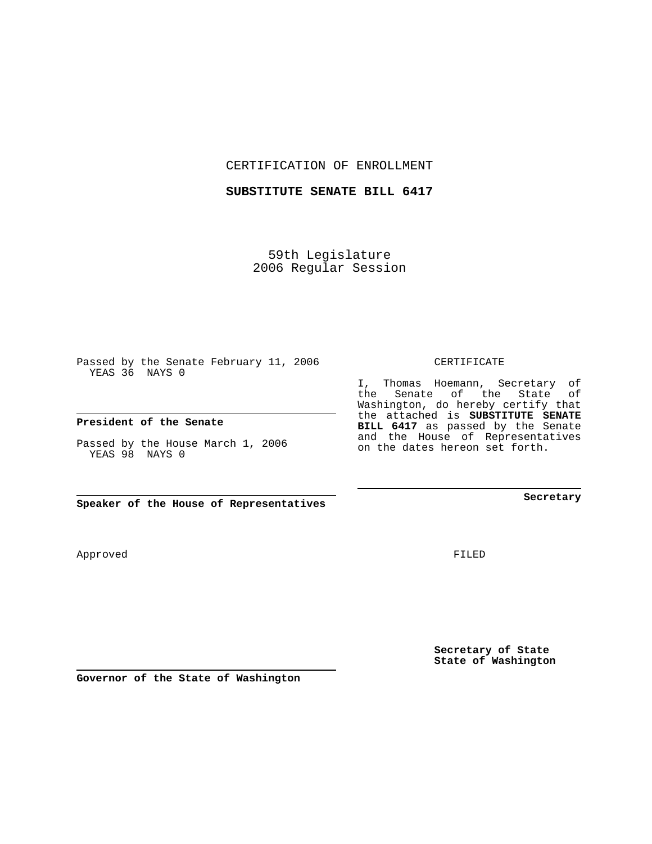CERTIFICATION OF ENROLLMENT

#### **SUBSTITUTE SENATE BILL 6417**

59th Legislature 2006 Regular Session

Passed by the Senate February 11, 2006 YEAS 36 NAYS 0

### **President of the Senate**

Passed by the House March 1, 2006 YEAS 98 NAYS 0

**Speaker of the House of Representatives**

**Governor of the State of Washington**

FILED

**Secretary of State State of Washington**

CERTIFICATE

I, Thomas Hoemann, Secretary of the Senate of the State of Washington, do hereby certify that the attached is **SUBSTITUTE SENATE BILL 6417** as passed by the Senate and the House of Representatives on the dates hereon set forth.

**Secretary**

## Approved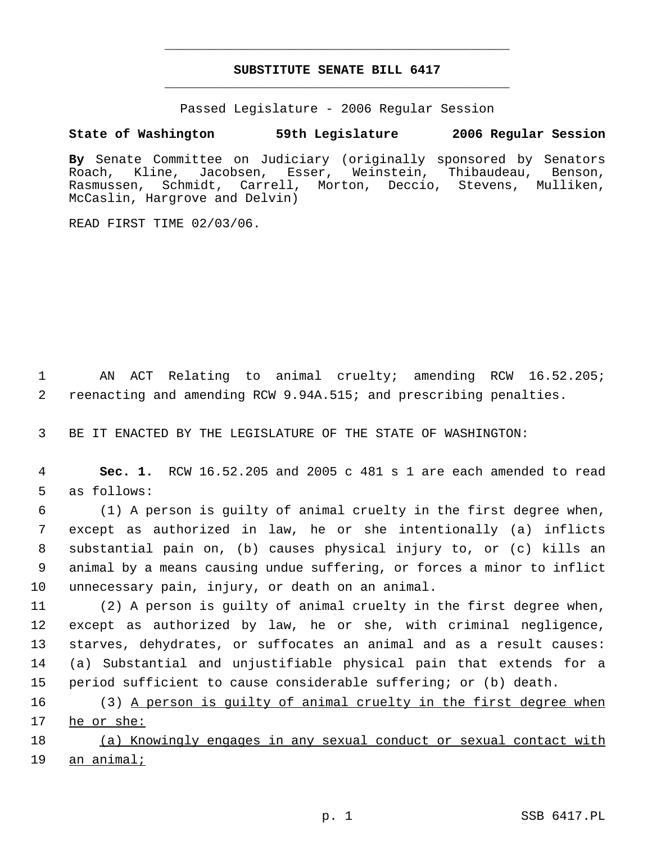# **SUBSTITUTE SENATE BILL 6417** \_\_\_\_\_\_\_\_\_\_\_\_\_\_\_\_\_\_\_\_\_\_\_\_\_\_\_\_\_\_\_\_\_\_\_\_\_\_\_\_\_\_\_\_\_

\_\_\_\_\_\_\_\_\_\_\_\_\_\_\_\_\_\_\_\_\_\_\_\_\_\_\_\_\_\_\_\_\_\_\_\_\_\_\_\_\_\_\_\_\_

Passed Legislature - 2006 Regular Session

## **State of Washington 59th Legislature 2006 Regular Session**

**By** Senate Committee on Judiciary (originally sponsored by Senators Roach, Kline, Jacobsen, Esser, Weinstein, Thibaudeau, Benson, Rasmussen, Schmidt, Carrell, Morton, Deccio, Stevens, Mulliken, McCaslin, Hargrove and Delvin)

READ FIRST TIME 02/03/06.

 1 AN ACT Relating to animal cruelty; amending RCW 16.52.205; 2 reenacting and amending RCW 9.94A.515; and prescribing penalties.

3 BE IT ENACTED BY THE LEGISLATURE OF THE STATE OF WASHINGTON:

 4 **Sec. 1.** RCW 16.52.205 and 2005 c 481 s 1 are each amended to read 5 as follows:

 (1) A person is guilty of animal cruelty in the first degree when, except as authorized in law, he or she intentionally (a) inflicts substantial pain on, (b) causes physical injury to, or (c) kills an animal by a means causing undue suffering, or forces a minor to inflict unnecessary pain, injury, or death on an animal.

 (2) A person is guilty of animal cruelty in the first degree when, except as authorized by law, he or she, with criminal negligence, starves, dehydrates, or suffocates an animal and as a result causes: (a) Substantial and unjustifiable physical pain that extends for a period sufficient to cause considerable suffering; or (b) death.

16 (3) A person is guilty of animal cruelty in the first degree when 17 he or she:

18 (a) Knowingly engages in any sexual conduct or sexual contact with 19 an animal;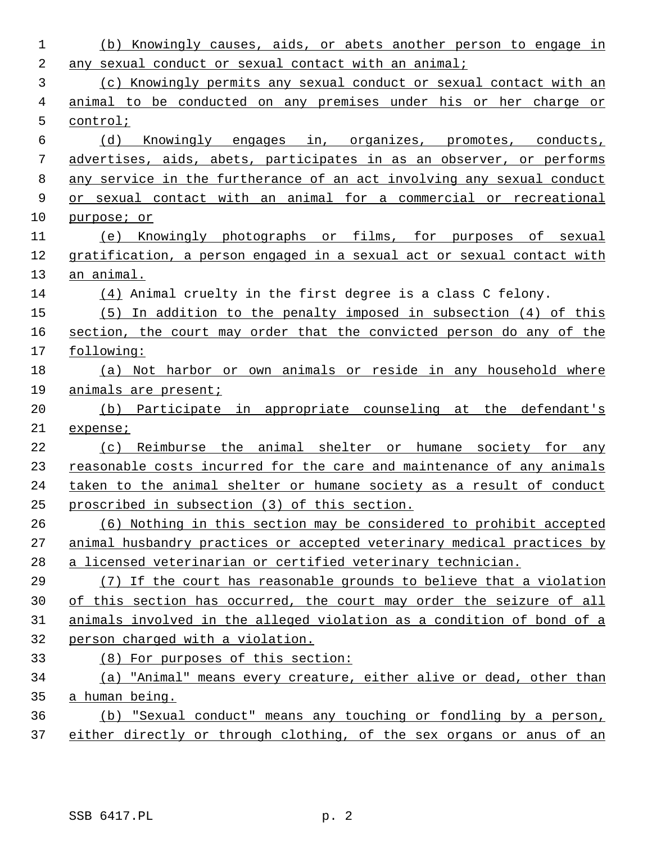| 1  | (b) Knowingly causes, aids, or abets another person to engage in       |
|----|------------------------------------------------------------------------|
| 2  | any sexual conduct or sexual contact with an animal;                   |
| 3  | (c) Knowingly permits any sexual conduct or sexual contact with an     |
| 4  | animal to be conducted on any premises under his or her charge or      |
| 5  | control;                                                               |
| 6  | (d)<br>Knowingly engages in, organizes, promotes, conducts,            |
| 7  | advertises, aids, abets, participates in as an observer, or performs   |
| 8  | any service in the furtherance of an act involving any sexual conduct  |
| 9  | or sexual contact with an animal for a commercial or recreational      |
| 10 | purpose; or                                                            |
| 11 | (e) Knowingly photographs or films, for purposes of sexual             |
| 12 | gratification, a person engaged in a sexual act or sexual contact with |
| 13 | an animal.                                                             |
| 14 | $(4)$ Animal cruelty in the first degree is a class C felony.          |
| 15 | $(5)$ In addition to the penalty imposed in subsection $(4)$ of this   |
| 16 | section, the court may order that the convicted person do any of the   |
| 17 | following:                                                             |
| 18 | (a) Not harbor or own animals or reside in any household where         |
| 19 | animals are present;                                                   |
| 20 | (b) Participate in appropriate counseling at the defendant's           |
| 21 | expense;                                                               |
| 22 | (c) Reimburse the animal shelter or humane society for any             |
| 23 | reasonable costs incurred for the care and maintenance of any animals  |
| 24 | taken to the animal shelter or humane society as a result of conduct   |
| 25 | proscribed in subsection (3) of this section.                          |
| 26 | (6) Nothing in this section may be considered to prohibit accepted     |
| 27 | animal husbandry practices or accepted veterinary medical practices by |
| 28 | a licensed veterinarian or certified veterinary technician.            |
| 29 | (7) If the court has reasonable grounds to believe that a violation    |
| 30 | of this section has occurred, the court may order the seizure of all   |
| 31 | animals involved in the alleged violation as a condition of bond of a  |
| 32 | person charged with a violation.                                       |
| 33 | (8) For purposes of this section:                                      |
| 34 | (a) "Animal" means every creature, either alive or dead, other than    |
| 35 | a human being.                                                         |
| 36 | (b) "Sexual conduct" means any touching or fondling by a person,       |
| 37 | either directly or through clothing, of the sex organs or anus of an   |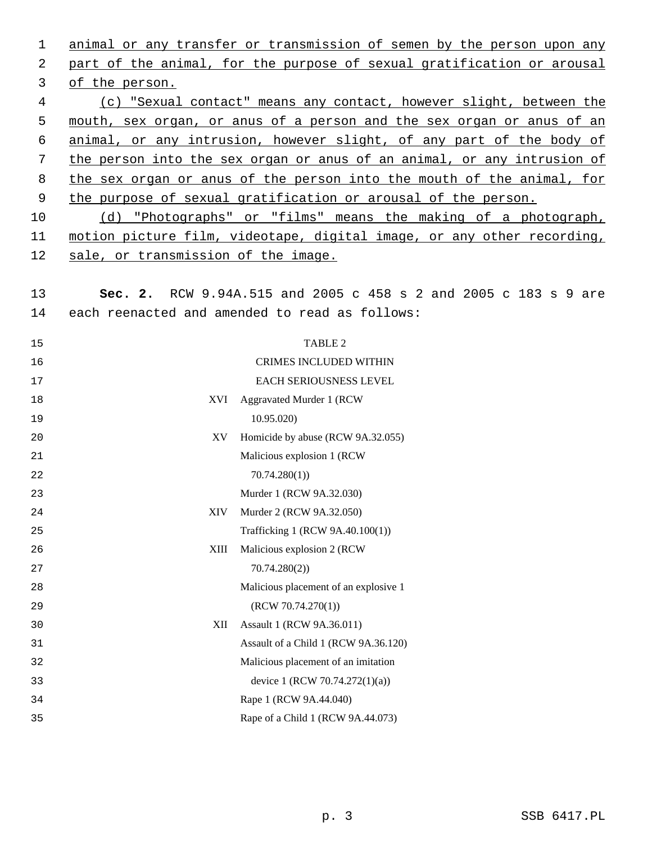animal or any transfer or transmission of semen by the person upon any part of the animal, for the purpose of sexual gratification or arousal of the person. (c) "Sexual contact" means any contact, however slight, between the mouth, sex organ, or anus of a person and the sex organ or anus of an animal, or any intrusion, however slight, of any part of the body of the person into the sex organ or anus of an animal, or any intrusion of the sex organ or anus of the person into the mouth of the animal, for 9 the purpose of sexual gratification or arousal of the person. (d) "Photographs" or "films" means the making of a photograph, motion picture film, videotape, digital image, or any other recording, sale, or transmission of the image. **Sec. 2.** RCW 9.94A.515 and 2005 c 458 s 2 and 2005 c 183 s 9 are each reenacted and amended to read as follows: 15 TABLE 2 CRIMES INCLUDED WITHIN EACH SERIOUSNESS LEVEL XVI Aggravated Murder 1 (RCW 10.95.020) XV Homicide by abuse (RCW 9A.32.055) Malicious explosion 1 (RCW 70.74.280(1)) Murder 1 (RCW 9A.32.030) XIV Murder 2 (RCW 9A.32.050) Trafficking 1 (RCW 9A.40.100(1)) XIII Malicious explosion 2 (RCW 70.74.280(2)) Malicious placement of an explosive 1 (RCW 70.74.270(1)) XII Assault 1 (RCW 9A.36.011) Assault of a Child 1 (RCW 9A.36.120) Malicious placement of an imitation device 1 (RCW 70.74.272(1)(a)) Rape 1 (RCW 9A.44.040) Rape of a Child 1 (RCW 9A.44.073)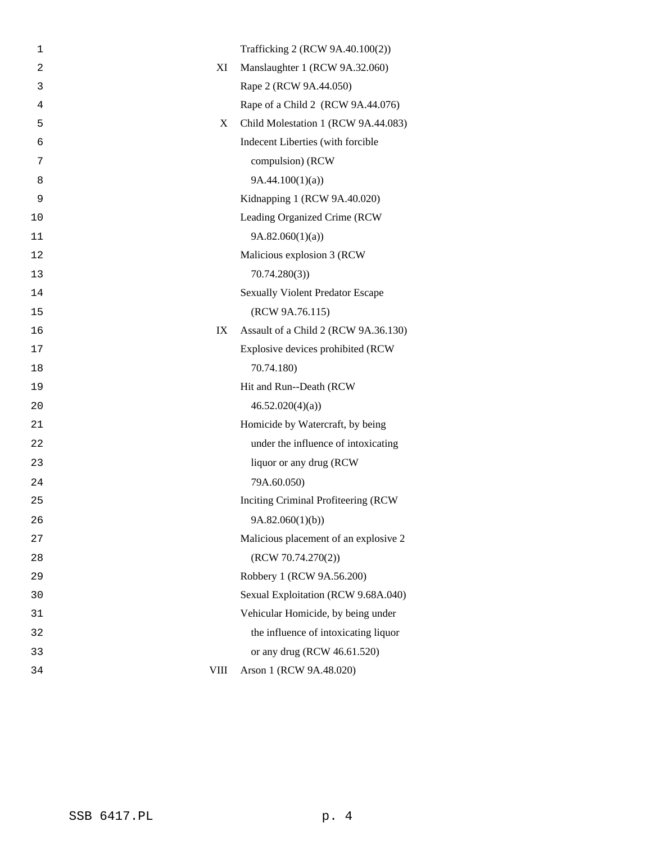| 1              |             | Trafficking 2 (RCW 9A.40.100(2))        |
|----------------|-------------|-----------------------------------------|
| $\overline{2}$ | XI          | Manslaughter 1 (RCW 9A.32.060)          |
| 3              |             | Rape 2 (RCW 9A.44.050)                  |
| 4              |             | Rape of a Child 2 (RCW 9A.44.076)       |
| 5              | X           | Child Molestation 1 (RCW 9A.44.083)     |
| 6              |             | Indecent Liberties (with forcible       |
| 7              |             | compulsion) (RCW                        |
| 8              |             | 9A.44.100(1)(a)                         |
| 9              |             | Kidnapping 1 (RCW 9A.40.020)            |
| 10             |             | Leading Organized Crime (RCW            |
| 11             |             | 9A.82.060(1)(a)                         |
| 12             |             | Malicious explosion 3 (RCW              |
| 13             |             | 70.74.280(3)                            |
| 14             |             | <b>Sexually Violent Predator Escape</b> |
| 15             |             | (RCW 9A.76.115)                         |
| 16             | IX          | Assault of a Child 2 (RCW 9A.36.130)    |
| 17             |             | Explosive devices prohibited (RCW       |
| 18             |             | 70.74.180)                              |
| 19             |             | Hit and Run--Death (RCW                 |
| 20             |             | 46.52.020(4)(a)                         |
| 21             |             | Homicide by Watercraft, by being        |
| 22             |             | under the influence of intoxicating     |
| 23             |             | liquor or any drug (RCW                 |
| 24             |             | 79A.60.050)                             |
| 25             |             | Inciting Criminal Profiteering (RCW     |
| 26             |             | 9A.82.060(1)(b))                        |
| 27             |             | Malicious placement of an explosive 2   |
| 28             |             | (RCW 70.74.270(2))                      |
| 29             |             | Robbery 1 (RCW 9A.56.200)               |
| 30             |             | Sexual Exploitation (RCW 9.68A.040)     |
| 31             |             | Vehicular Homicide, by being under      |
| 32             |             | the influence of intoxicating liquor    |
| 33             |             | or any drug (RCW 46.61.520)             |
| 34             | <b>VIII</b> | Arson 1 (RCW 9A.48.020)                 |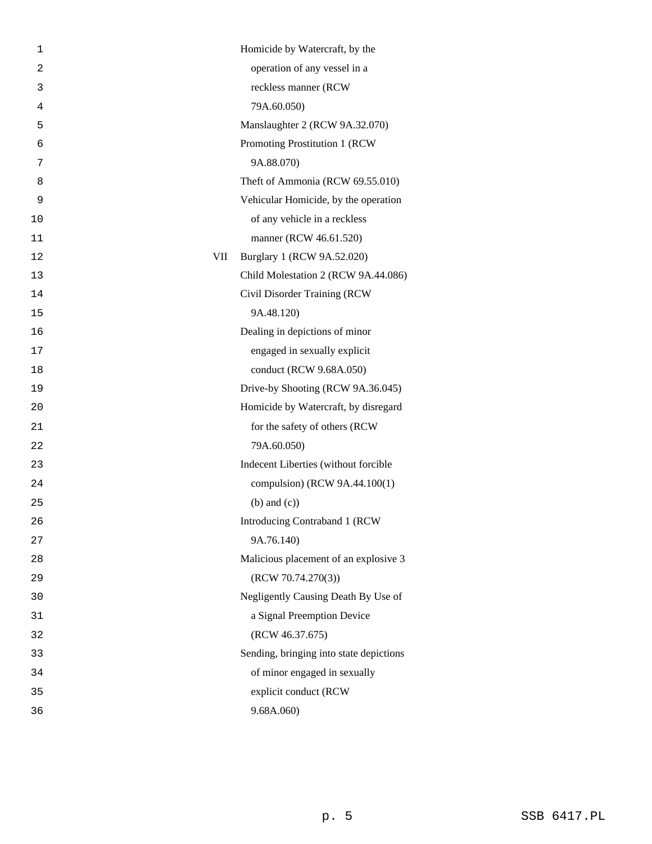| operation of any vessel in a<br>$\overline{2}$<br>reckless manner (RCW<br>3<br>79A.60.050)<br>4<br>Manslaughter 2 (RCW 9A.32.070)<br>5<br>Promoting Prostitution 1 (RCW<br>6<br>9A.88.070)<br>7<br>Theft of Ammonia (RCW 69.55.010)<br>8<br>Vehicular Homicide, by the operation<br>9<br>of any vehicle in a reckless<br>10<br>manner (RCW 46.61.520)<br>11<br>VII<br>Burglary 1 (RCW 9A.52.020)<br>12<br>Child Molestation 2 (RCW 9A.44.086)<br>13<br>Civil Disorder Training (RCW<br>14<br>9A.48.120)<br>15<br>Dealing in depictions of minor<br>16<br>engaged in sexually explicit<br>17<br>conduct (RCW 9.68A.050)<br>18<br>Drive-by Shooting (RCW 9A.36.045)<br>19<br>Homicide by Watercraft, by disregard<br>20<br>for the safety of others (RCW<br>21<br>79A.60.050)<br>22<br>Indecent Liberties (without forcible<br>23<br>compulsion) (RCW 9A.44.100(1)<br>24<br>$(b)$ and $(c)$ )<br>25<br>26<br>Introducing Contraband 1 (RCW<br>9A.76.140)<br>27<br>Malicious placement of an explosive 3<br>28<br>(RCW 70.74.270(3))<br>29<br>Negligently Causing Death By Use of<br>30<br>a Signal Preemption Device<br>31<br>(RCW 46.37.675)<br>32<br>Sending, bringing into state depictions<br>33<br>of minor engaged in sexually<br>34<br>explicit conduct (RCW<br>35<br>9.68A.060<br>36 | 1 | Homicide by Watercraft, by the |  |
|--------------------------------------------------------------------------------------------------------------------------------------------------------------------------------------------------------------------------------------------------------------------------------------------------------------------------------------------------------------------------------------------------------------------------------------------------------------------------------------------------------------------------------------------------------------------------------------------------------------------------------------------------------------------------------------------------------------------------------------------------------------------------------------------------------------------------------------------------------------------------------------------------------------------------------------------------------------------------------------------------------------------------------------------------------------------------------------------------------------------------------------------------------------------------------------------------------------------------------------------------------------------------------------------|---|--------------------------------|--|
|                                                                                                                                                                                                                                                                                                                                                                                                                                                                                                                                                                                                                                                                                                                                                                                                                                                                                                                                                                                                                                                                                                                                                                                                                                                                                            |   |                                |  |
|                                                                                                                                                                                                                                                                                                                                                                                                                                                                                                                                                                                                                                                                                                                                                                                                                                                                                                                                                                                                                                                                                                                                                                                                                                                                                            |   |                                |  |
|                                                                                                                                                                                                                                                                                                                                                                                                                                                                                                                                                                                                                                                                                                                                                                                                                                                                                                                                                                                                                                                                                                                                                                                                                                                                                            |   |                                |  |
|                                                                                                                                                                                                                                                                                                                                                                                                                                                                                                                                                                                                                                                                                                                                                                                                                                                                                                                                                                                                                                                                                                                                                                                                                                                                                            |   |                                |  |
|                                                                                                                                                                                                                                                                                                                                                                                                                                                                                                                                                                                                                                                                                                                                                                                                                                                                                                                                                                                                                                                                                                                                                                                                                                                                                            |   |                                |  |
|                                                                                                                                                                                                                                                                                                                                                                                                                                                                                                                                                                                                                                                                                                                                                                                                                                                                                                                                                                                                                                                                                                                                                                                                                                                                                            |   |                                |  |
|                                                                                                                                                                                                                                                                                                                                                                                                                                                                                                                                                                                                                                                                                                                                                                                                                                                                                                                                                                                                                                                                                                                                                                                                                                                                                            |   |                                |  |
|                                                                                                                                                                                                                                                                                                                                                                                                                                                                                                                                                                                                                                                                                                                                                                                                                                                                                                                                                                                                                                                                                                                                                                                                                                                                                            |   |                                |  |
|                                                                                                                                                                                                                                                                                                                                                                                                                                                                                                                                                                                                                                                                                                                                                                                                                                                                                                                                                                                                                                                                                                                                                                                                                                                                                            |   |                                |  |
|                                                                                                                                                                                                                                                                                                                                                                                                                                                                                                                                                                                                                                                                                                                                                                                                                                                                                                                                                                                                                                                                                                                                                                                                                                                                                            |   |                                |  |
|                                                                                                                                                                                                                                                                                                                                                                                                                                                                                                                                                                                                                                                                                                                                                                                                                                                                                                                                                                                                                                                                                                                                                                                                                                                                                            |   |                                |  |
|                                                                                                                                                                                                                                                                                                                                                                                                                                                                                                                                                                                                                                                                                                                                                                                                                                                                                                                                                                                                                                                                                                                                                                                                                                                                                            |   |                                |  |
|                                                                                                                                                                                                                                                                                                                                                                                                                                                                                                                                                                                                                                                                                                                                                                                                                                                                                                                                                                                                                                                                                                                                                                                                                                                                                            |   |                                |  |
|                                                                                                                                                                                                                                                                                                                                                                                                                                                                                                                                                                                                                                                                                                                                                                                                                                                                                                                                                                                                                                                                                                                                                                                                                                                                                            |   |                                |  |
|                                                                                                                                                                                                                                                                                                                                                                                                                                                                                                                                                                                                                                                                                                                                                                                                                                                                                                                                                                                                                                                                                                                                                                                                                                                                                            |   |                                |  |
|                                                                                                                                                                                                                                                                                                                                                                                                                                                                                                                                                                                                                                                                                                                                                                                                                                                                                                                                                                                                                                                                                                                                                                                                                                                                                            |   |                                |  |
|                                                                                                                                                                                                                                                                                                                                                                                                                                                                                                                                                                                                                                                                                                                                                                                                                                                                                                                                                                                                                                                                                                                                                                                                                                                                                            |   |                                |  |
|                                                                                                                                                                                                                                                                                                                                                                                                                                                                                                                                                                                                                                                                                                                                                                                                                                                                                                                                                                                                                                                                                                                                                                                                                                                                                            |   |                                |  |
|                                                                                                                                                                                                                                                                                                                                                                                                                                                                                                                                                                                                                                                                                                                                                                                                                                                                                                                                                                                                                                                                                                                                                                                                                                                                                            |   |                                |  |
|                                                                                                                                                                                                                                                                                                                                                                                                                                                                                                                                                                                                                                                                                                                                                                                                                                                                                                                                                                                                                                                                                                                                                                                                                                                                                            |   |                                |  |
|                                                                                                                                                                                                                                                                                                                                                                                                                                                                                                                                                                                                                                                                                                                                                                                                                                                                                                                                                                                                                                                                                                                                                                                                                                                                                            |   |                                |  |
|                                                                                                                                                                                                                                                                                                                                                                                                                                                                                                                                                                                                                                                                                                                                                                                                                                                                                                                                                                                                                                                                                                                                                                                                                                                                                            |   |                                |  |
|                                                                                                                                                                                                                                                                                                                                                                                                                                                                                                                                                                                                                                                                                                                                                                                                                                                                                                                                                                                                                                                                                                                                                                                                                                                                                            |   |                                |  |
|                                                                                                                                                                                                                                                                                                                                                                                                                                                                                                                                                                                                                                                                                                                                                                                                                                                                                                                                                                                                                                                                                                                                                                                                                                                                                            |   |                                |  |
|                                                                                                                                                                                                                                                                                                                                                                                                                                                                                                                                                                                                                                                                                                                                                                                                                                                                                                                                                                                                                                                                                                                                                                                                                                                                                            |   |                                |  |
|                                                                                                                                                                                                                                                                                                                                                                                                                                                                                                                                                                                                                                                                                                                                                                                                                                                                                                                                                                                                                                                                                                                                                                                                                                                                                            |   |                                |  |
|                                                                                                                                                                                                                                                                                                                                                                                                                                                                                                                                                                                                                                                                                                                                                                                                                                                                                                                                                                                                                                                                                                                                                                                                                                                                                            |   |                                |  |
|                                                                                                                                                                                                                                                                                                                                                                                                                                                                                                                                                                                                                                                                                                                                                                                                                                                                                                                                                                                                                                                                                                                                                                                                                                                                                            |   |                                |  |
|                                                                                                                                                                                                                                                                                                                                                                                                                                                                                                                                                                                                                                                                                                                                                                                                                                                                                                                                                                                                                                                                                                                                                                                                                                                                                            |   |                                |  |
|                                                                                                                                                                                                                                                                                                                                                                                                                                                                                                                                                                                                                                                                                                                                                                                                                                                                                                                                                                                                                                                                                                                                                                                                                                                                                            |   |                                |  |
|                                                                                                                                                                                                                                                                                                                                                                                                                                                                                                                                                                                                                                                                                                                                                                                                                                                                                                                                                                                                                                                                                                                                                                                                                                                                                            |   |                                |  |
|                                                                                                                                                                                                                                                                                                                                                                                                                                                                                                                                                                                                                                                                                                                                                                                                                                                                                                                                                                                                                                                                                                                                                                                                                                                                                            |   |                                |  |
|                                                                                                                                                                                                                                                                                                                                                                                                                                                                                                                                                                                                                                                                                                                                                                                                                                                                                                                                                                                                                                                                                                                                                                                                                                                                                            |   |                                |  |
|                                                                                                                                                                                                                                                                                                                                                                                                                                                                                                                                                                                                                                                                                                                                                                                                                                                                                                                                                                                                                                                                                                                                                                                                                                                                                            |   |                                |  |
|                                                                                                                                                                                                                                                                                                                                                                                                                                                                                                                                                                                                                                                                                                                                                                                                                                                                                                                                                                                                                                                                                                                                                                                                                                                                                            |   |                                |  |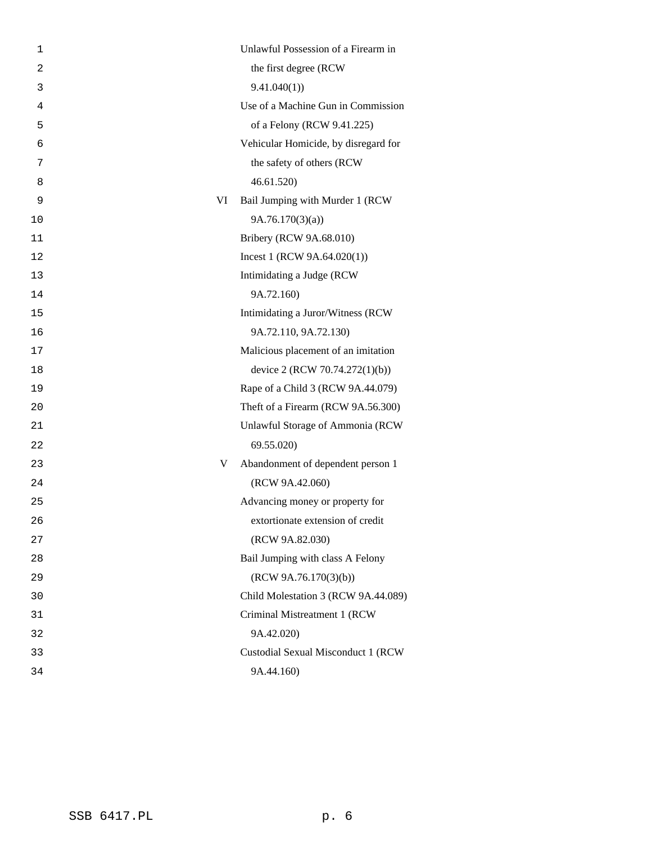| 1              |    | Unlawful Possession of a Firearm in  |
|----------------|----|--------------------------------------|
| $\overline{2}$ |    | the first degree (RCW                |
| 3              |    | 9.41.040(1)                          |
| 4              |    | Use of a Machine Gun in Commission   |
| 5              |    | of a Felony (RCW 9.41.225)           |
| 6              |    | Vehicular Homicide, by disregard for |
| 7              |    | the safety of others (RCW            |
| 8              |    | 46.61.520                            |
| 9              | VI | Bail Jumping with Murder 1 (RCW      |
| 10             |    | 9A.76.170(3)(a)                      |
| 11             |    | Bribery (RCW 9A.68.010)              |
| 12             |    | Incest 1 (RCW $9A.64.020(1)$ )       |
| 13             |    | Intimidating a Judge (RCW            |
| 14             |    | 9A.72.160)                           |
| 15             |    | Intimidating a Juror/Witness (RCW    |
| 16             |    | 9A.72.110, 9A.72.130)                |
| 17             |    | Malicious placement of an imitation  |
| 18             |    | device 2 (RCW 70.74.272(1)(b))       |
| 19             |    | Rape of a Child 3 (RCW 9A.44.079)    |
| 20             |    | Theft of a Firearm (RCW 9A.56.300)   |
| 21             |    | Unlawful Storage of Ammonia (RCW     |
| 22             |    | 69.55.020)                           |
| 23             | V  | Abandonment of dependent person 1    |
| 24             |    | (RCW 9A.42.060)                      |
| 25             |    | Advancing money or property for      |
| 26             |    | extortionate extension of credit     |
| 27             |    | (RCW 9A.82.030)                      |
| 28             |    | Bail Jumping with class A Felony     |
| 29             |    | (RCW 9A.76.170(3)(b))                |
| 30             |    | Child Molestation 3 (RCW 9A.44.089)  |
| 31             |    | Criminal Mistreatment 1 (RCW         |
| 32             |    | 9A.42.020)                           |
| 33             |    | Custodial Sexual Misconduct 1 (RCW   |
| 34             |    | 9A.44.160)                           |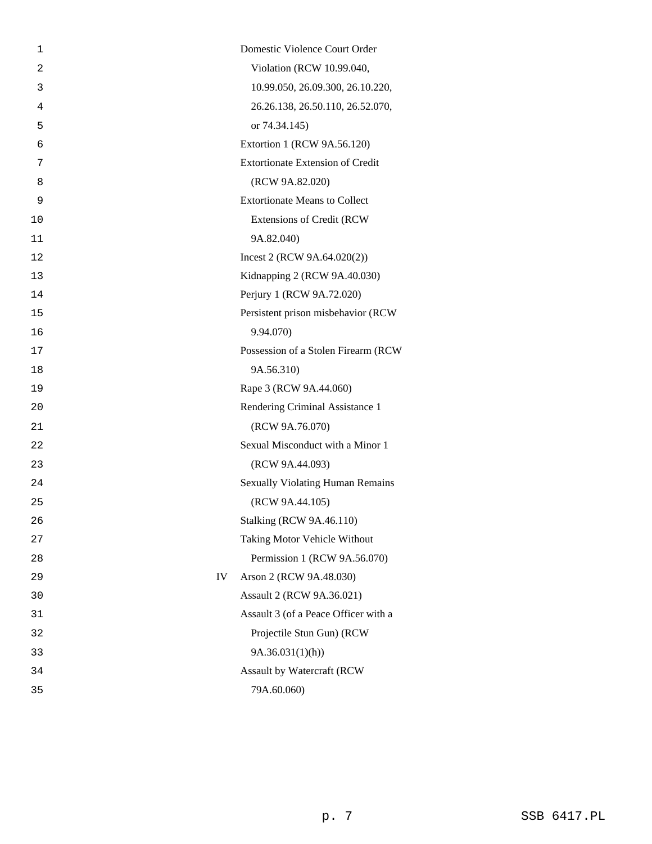| 1              | Domestic Violence Court Order           |
|----------------|-----------------------------------------|
| $\overline{2}$ | Violation (RCW 10.99.040,               |
| 3              | 10.99.050, 26.09.300, 26.10.220,        |
| 4              | 26.26.138, 26.50.110, 26.52.070,        |
| 5              | or 74.34.145)                           |
| 6              | Extortion 1 (RCW 9A.56.120)             |
| 7              | <b>Extortionate Extension of Credit</b> |
| 8              | (RCW 9A.82.020)                         |
| 9              | <b>Extortionate Means to Collect</b>    |
| 10             | <b>Extensions of Credit (RCW</b>        |
| 11             | 9A.82.040)                              |
| 12             | Incest 2 (RCW $9A.64.020(2)$ )          |
| 13             | Kidnapping 2 (RCW 9A.40.030)            |
| 14             | Perjury 1 (RCW 9A.72.020)               |
| 15             | Persistent prison misbehavior (RCW      |
| 16             | 9.94.070)                               |
| 17             | Possession of a Stolen Firearm (RCW     |
| 18             | 9A.56.310)                              |
| 19             | Rape 3 (RCW 9A.44.060)                  |
| 20             | Rendering Criminal Assistance 1         |
| 21             | (RCW 9A.76.070)                         |
| 22             | Sexual Misconduct with a Minor 1        |
| 23             | (RCW 9A.44.093)                         |
| 24             | <b>Sexually Violating Human Remains</b> |
| 25             | (RCW 9A.44.105)                         |
| 26             | <b>Stalking (RCW 9A.46.110)</b>         |
| 27             | Taking Motor Vehicle Without            |
| 28             | Permission 1 (RCW 9A.56.070)            |
| 29             | IV<br>Arson 2 (RCW 9A.48.030)           |
| 30             | Assault 2 (RCW 9A.36.021)               |
| 31             | Assault 3 (of a Peace Officer with a    |
| 32             | Projectile Stun Gun) (RCW               |
| 33             | 9A.36.031(1)(h)                         |
| 34             | Assault by Watercraft (RCW              |
| 35             | 79A.60.060)                             |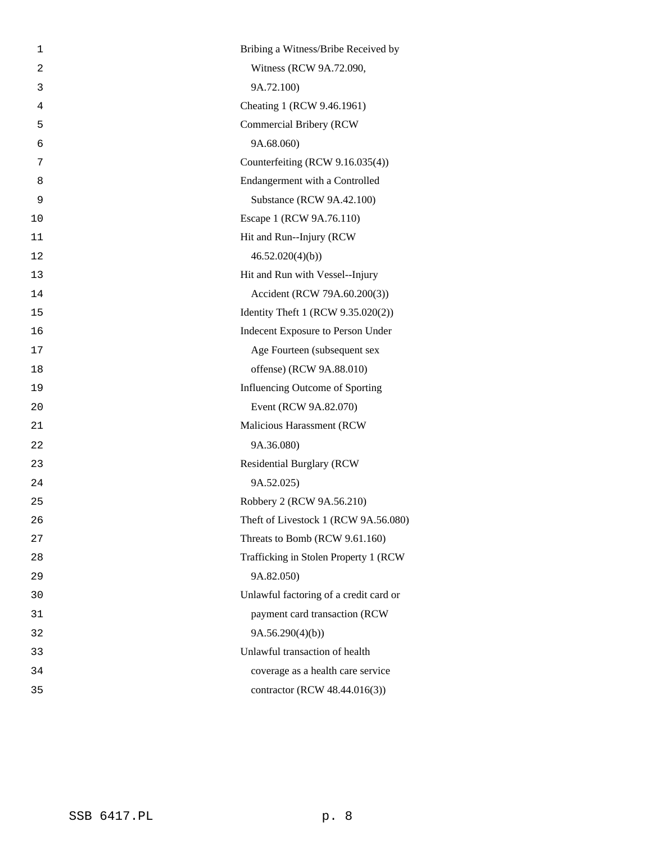| 1  | Bribing a Witness/Bribe Received by    |
|----|----------------------------------------|
| 2  | Witness (RCW 9A.72.090,                |
| 3  | 9A.72.100)                             |
| 4  | Cheating 1 (RCW 9.46.1961)             |
| 5  | Commercial Bribery (RCW                |
| 6  | 9A.68.060)                             |
| 7  | Counterfeiting (RCW 9.16.035(4))       |
| 8  | Endangerment with a Controlled         |
| 9  | Substance (RCW 9A.42.100)              |
| 10 | Escape 1 (RCW 9A.76.110)               |
| 11 | Hit and Run--Injury (RCW               |
| 12 | 46.52.020(4)(b)                        |
| 13 | Hit and Run with Vessel--Injury        |
| 14 | Accident (RCW 79A.60.200(3))           |
| 15 | Identity Theft 1 (RCW 9.35.020(2))     |
| 16 | Indecent Exposure to Person Under      |
| 17 | Age Fourteen (subsequent sex           |
| 18 | offense) (RCW 9A.88.010)               |
| 19 | Influencing Outcome of Sporting        |
| 20 | Event (RCW 9A.82.070)                  |
| 21 | Malicious Harassment (RCW              |
| 22 | 9A.36.080)                             |
| 23 | <b>Residential Burglary (RCW</b>       |
| 24 | 9A.52.025)                             |
| 25 | Robbery 2 (RCW 9A.56.210)              |
| 26 | Theft of Livestock 1 (RCW 9A.56.080)   |
| 27 | Threats to Bomb (RCW 9.61.160)         |
| 28 | Trafficking in Stolen Property 1 (RCW) |
| 29 | 9A.82.050)                             |
| 30 | Unlawful factoring of a credit card or |
| 31 | payment card transaction (RCW          |
| 32 | 9A.56.290(4)(b)                        |
| 33 | Unlawful transaction of health         |
| 34 | coverage as a health care service      |
| 35 | contractor (RCW 48.44.016(3))          |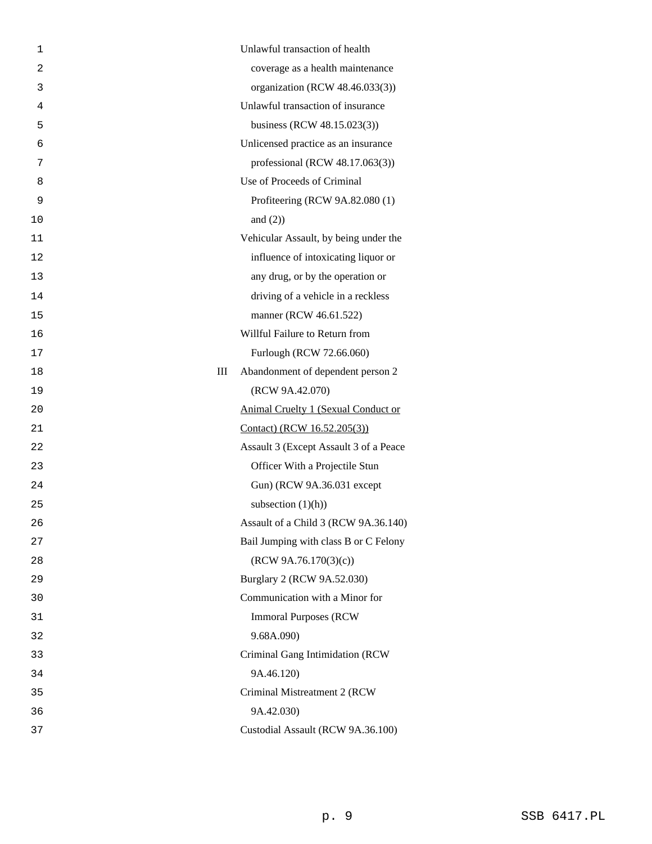| 1              | Unlawful transaction of health             |
|----------------|--------------------------------------------|
| $\overline{2}$ | coverage as a health maintenance           |
| 3              | organization (RCW 48.46.033(3))            |
| 4              | Unlawful transaction of insurance          |
| 5              | business (RCW 48.15.023(3))                |
| 6              | Unlicensed practice as an insurance        |
| 7              | professional (RCW 48.17.063(3))            |
| 8              | Use of Proceeds of Criminal                |
| 9              | Profiteering (RCW 9A.82.080 (1)            |
| 10             | and $(2)$ )                                |
| 11             | Vehicular Assault, by being under the      |
| 12             | influence of intoxicating liquor or        |
| 13             | any drug, or by the operation or           |
| 14             | driving of a vehicle in a reckless         |
| 15             | manner (RCW 46.61.522)                     |
| 16             | Willful Failure to Return from             |
| 17             | Furlough (RCW 72.66.060)                   |
| 18             | Ш<br>Abandonment of dependent person 2     |
| 19             | (RCW 9A.42.070)                            |
| 20             | <b>Animal Cruelty 1 (Sexual Conduct or</b> |
| 21             | Contact) (RCW 16.52.205(3))                |
| 22             | Assault 3 (Except Assault 3 of a Peace     |
| 23             | Officer With a Projectile Stun             |
| 24             | Gun) (RCW 9A.36.031 except                 |
| 25             | subsection $(1)(h)$                        |
| 26             | Assault of a Child 3 (RCW 9A.36.140)       |
| 27             | Bail Jumping with class B or C Felony      |
| 28             | (RCW 9A.76.170(3)(c))                      |
| 29             | Burglary 2 (RCW 9A.52.030)                 |
| 30             | Communication with a Minor for             |
| 31             | <b>Immoral Purposes (RCW)</b>              |
| 32             | 9.68A.090)                                 |
| 33             | Criminal Gang Intimidation (RCW            |
| 34             | 9A.46.120)                                 |
| 35             | Criminal Mistreatment 2 (RCW               |
| 36             | 9A.42.030)                                 |
| 37             | Custodial Assault (RCW 9A.36.100)          |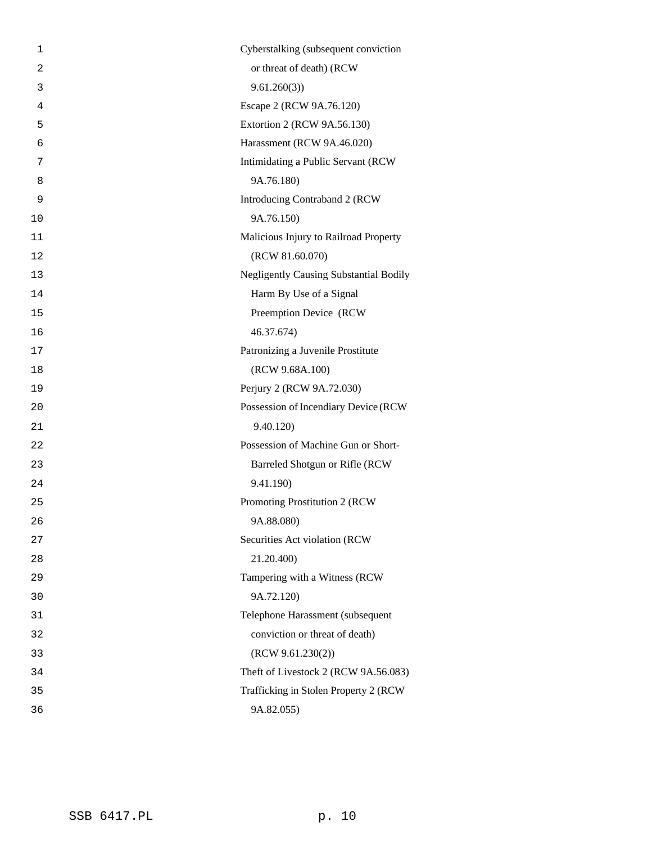| 1              | Cyberstalking (subsequent conviction          |
|----------------|-----------------------------------------------|
| $\overline{a}$ | or threat of death) (RCW                      |
| 3              | 9.61.260(3)                                   |
| $\overline{4}$ | Escape 2 (RCW 9A.76.120)                      |
| 5              | Extortion 2 (RCW 9A.56.130)                   |
| 6              | Harassment (RCW 9A.46.020)                    |
| 7              | Intimidating a Public Servant (RCW            |
| 8              | 9A.76.180)                                    |
| 9              | Introducing Contraband 2 (RCW                 |
| 10             | 9A.76.150)                                    |
| 11             | Malicious Injury to Railroad Property         |
| 12             | (RCW 81.60.070)                               |
| 13             | <b>Negligently Causing Substantial Bodily</b> |
| 14             | Harm By Use of a Signal                       |
| 15             | Preemption Device (RCW                        |
| 16             | 46.37.674)                                    |
| 17             | Patronizing a Juvenile Prostitute             |
| 18             | (RCW 9.68A.100)                               |
| 19             | Perjury 2 (RCW 9A.72.030)                     |
| 20             | Possession of Incendiary Device (RCW          |
| 21             | 9.40.120)                                     |
| 22             | Possession of Machine Gun or Short-           |
| 23             | Barreled Shotgun or Rifle (RCW                |
| 24             | 9.41.190)                                     |
| 25             | Promoting Prostitution 2 (RCW                 |
| 26             | 9A.88.080)                                    |
| 27             | Securities Act violation (RCW                 |
| 28             | 21.20.400)                                    |
| 29             | Tampering with a Witness (RCW                 |
| 30             | 9A.72.120)                                    |
| 31             | Telephone Harassment (subsequent              |
| 32             | conviction or threat of death)                |
| 33             | (RCW 9.61.230(2))                             |
| 34             | Theft of Livestock 2 (RCW 9A.56.083)          |
| 35             | Trafficking in Stolen Property 2 (RCW         |
| 36             | 9A.82.055)                                    |
|                |                                               |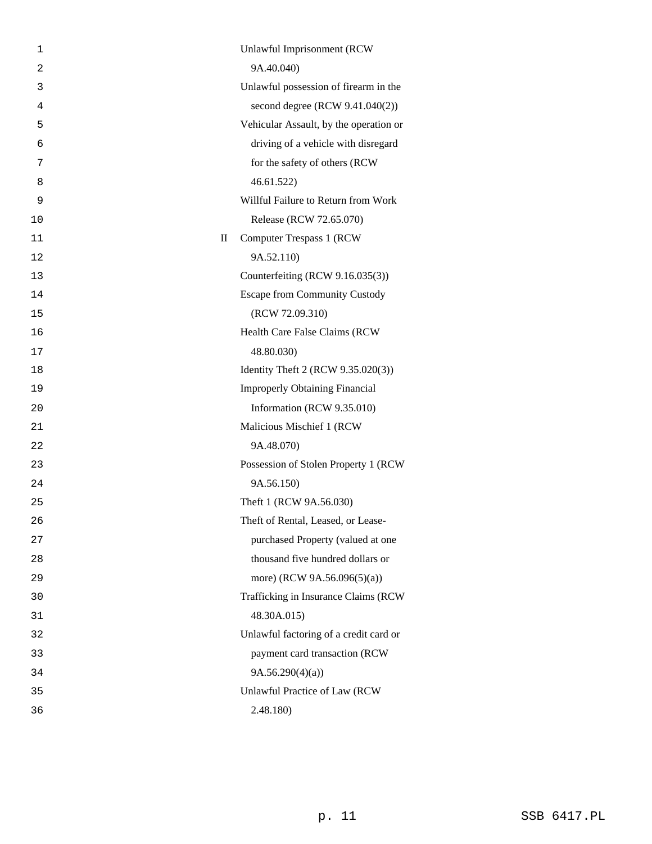| 1              |             | Unlawful Imprisonment (RCW             |
|----------------|-------------|----------------------------------------|
| $\overline{2}$ |             | 9A.40.040)                             |
| 3              |             | Unlawful possession of firearm in the  |
| 4              |             | second degree (RCW 9.41.040(2))        |
| 5              |             | Vehicular Assault, by the operation or |
| 6              |             | driving of a vehicle with disregard    |
| 7              |             | for the safety of others (RCW          |
| 8              |             | 46.61.522                              |
| 9              |             | Willful Failure to Return from Work    |
| 10             |             | Release (RCW 72.65.070)                |
| 11             | $\rm _{II}$ | <b>Computer Trespass 1 (RCW)</b>       |
| 12             |             | 9A.52.110)                             |
| 13             |             | Counterfeiting (RCW 9.16.035(3))       |
| 14             |             | <b>Escape from Community Custody</b>   |
| 15             |             | (RCW 72.09.310)                        |
| 16             |             | Health Care False Claims (RCW          |
| 17             |             | 48.80.030)                             |
| 18             |             | Identity Theft 2 (RCW 9.35.020(3))     |
| 19             |             | <b>Improperly Obtaining Financial</b>  |
| 20             |             | Information (RCW 9.35.010)             |
| 21             |             | Malicious Mischief 1 (RCW              |
| 22             |             | 9A.48.070)                             |
| 23             |             | Possession of Stolen Property 1 (RCW   |
| 24             |             | 9A.56.150)                             |
| 25             |             | Theft 1 (RCW 9A.56.030)                |
| 26             |             | Theft of Rental, Leased, or Lease-     |
| 27             |             | purchased Property (valued at one      |
| 28             |             | thousand five hundred dollars or       |
| 29             |             | more) (RCW 9A.56.096(5)(a))            |
| 30             |             | Trafficking in Insurance Claims (RCW   |
| 31             |             | 48.30A.015)                            |
| 32             |             | Unlawful factoring of a credit card or |
| 33             |             | payment card transaction (RCW          |
| 34             |             | 9A.56.290(4)(a)                        |
| 35             |             | Unlawful Practice of Law (RCW          |
| 36             |             | 2.48.180)                              |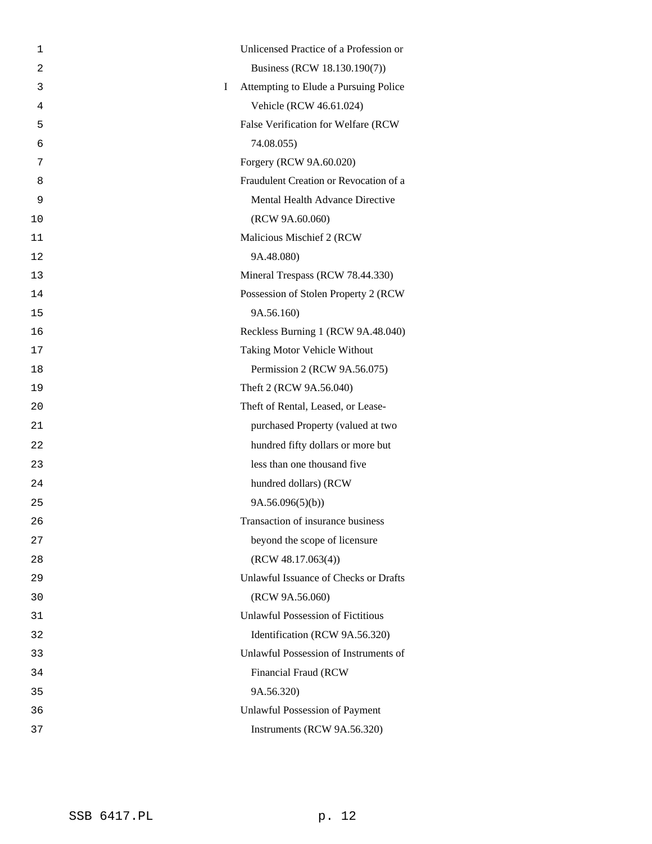| 1              | Unlicensed Practice of a Profession or            |
|----------------|---------------------------------------------------|
| $\overline{2}$ | Business (RCW 18.130.190(7))                      |
| 3              | Attempting to Elude a Pursuing Police<br>$\bf{I}$ |
| 4              | Vehicle (RCW 46.61.024)                           |
| 5              | False Verification for Welfare (RCW               |
| 6              | 74.08.055)                                        |
| 7              | Forgery (RCW 9A.60.020)                           |
| 8              | Fraudulent Creation or Revocation of a            |
| 9              | Mental Health Advance Directive                   |
| 10             | (RCW 9A.60.060)                                   |
| 11             | Malicious Mischief 2 (RCW                         |
| 12             | 9A.48.080)                                        |
| 13             | Mineral Trespass (RCW 78.44.330)                  |
| 14             | Possession of Stolen Property 2 (RCW)             |
| 15             | 9A.56.160)                                        |
| 16             | Reckless Burning 1 (RCW 9A.48.040)                |
| 17             | Taking Motor Vehicle Without                      |
| 18             | Permission 2 (RCW 9A.56.075)                      |
| 19             | Theft 2 (RCW 9A.56.040)                           |
| 20             | Theft of Rental, Leased, or Lease-                |
| 21             | purchased Property (valued at two                 |
| 22             | hundred fifty dollars or more but                 |
| 23             | less than one thousand five                       |
| 24             | hundred dollars) (RCW                             |
| 25             | 9A.56.096(5)(b)                                   |
| 26             | Transaction of insurance business                 |
| 27             | beyond the scope of licensure                     |
| 28             | (RCW 48.17.063(4))                                |
| 29             | Unlawful Issuance of Checks or Drafts             |
| 30             | (RCW 9A.56.060)                                   |
| 31             | <b>Unlawful Possession of Fictitious</b>          |
| 32             | Identification (RCW 9A.56.320)                    |
| 33             | Unlawful Possession of Instruments of             |
| 34             | Financial Fraud (RCW                              |
| 35             | 9A.56.320)                                        |
| 36             | <b>Unlawful Possession of Payment</b>             |
| 37             | Instruments (RCW 9A.56.320)                       |